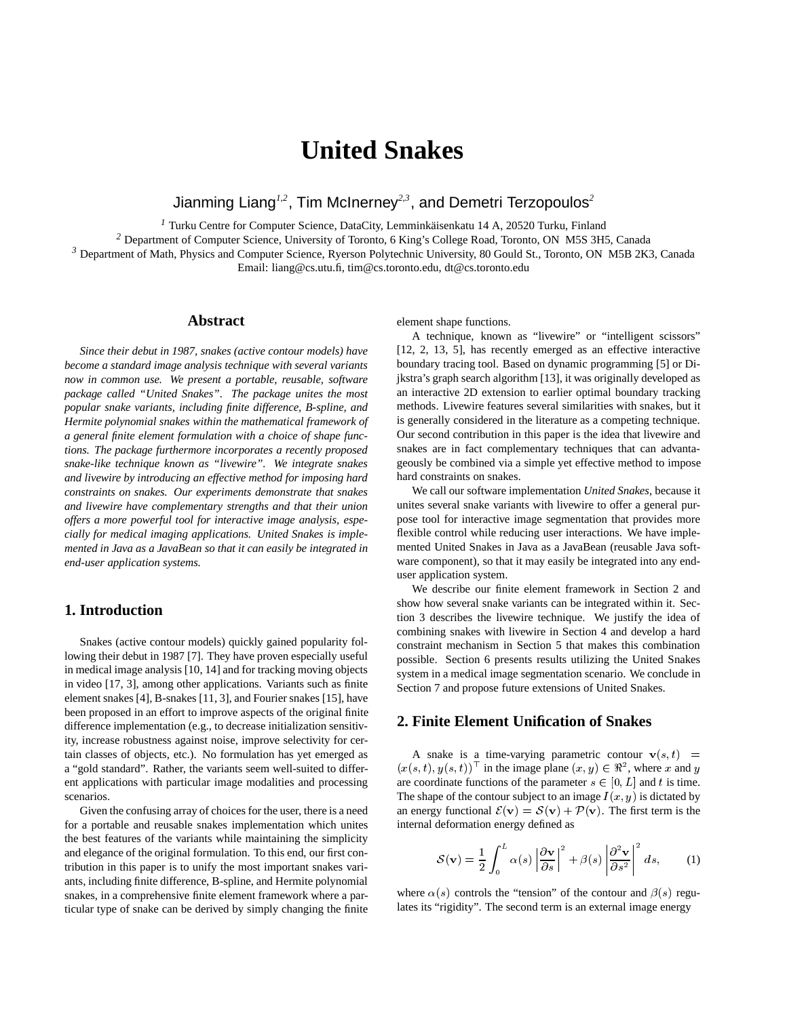# **United Snakes**

Jianming Liang*1,2*, Tim McInerney*2,3*, and Demetri Terzopoulos*<sup>2</sup>*

<sup>1</sup> Turku Centre for Computer Science, DataCity, Lemminkäisenkatu 14 A, 20520 Turku, Finland

*<sup>2</sup>* Department of Computer Science, University of Toronto, 6 King's College Road, Toronto, ON M5S 3H5, Canada

*<sup>3</sup>* Department of Math, Physics and Computer Science, Ryerson Polytechnic University, 80 Gould St., Toronto, ON M5B 2K3, Canada Email: liang@cs.utu.fi, tim@cs.toronto.edu, dt@cs.toronto.edu

# **Abstract**

*Since their debut in 1987, snakes (active contour models) have become a standard image analysis technique with several variants now in common use. We present a portable, reusable, software package called "United Snakes". The package unites the most popular snake variants, including finite difference, B-spline, and Hermite polynomial snakes within the mathematical framework of a general finite element formulation with a choice of shape functions. The package furthermore incorporates a recently proposed snake-like technique known as "livewire". We integrate snakes and livewire by introducing an effective method for imposing hard constraints on snakes. Our experiments demonstrate that snakes and livewire have complementary strengths and that their union offers a more powerful tool for interactive image analysis, especially for medical imaging applications. United Snakes is implemented in Java as a JavaBean so that it can easily be integrated in end-user application systems.*

## **1. Introduction**

Snakes (active contour models) quickly gained popularity following their debut in 1987 [7]. They have proven especially useful in medical image analysis [10, 14] and for tracking moving objects in video [17, 3], among other applications. Variants such as finite element snakes [4], B-snakes [11, 3], and Fourier snakes [15], have been proposed in an effort to improve aspects of the original finite difference implementation (e.g., to decrease initialization sensitivity, increase robustness against noise, improve selectivity for certain classes of objects, etc.). No formulation has yet emerged as a "gold standard". Rather, the variants seem well-suited to different applications with particular image modalities and processing scenarios.

Given the confusing array of choices for the user, there is a need for a portable and reusable snakes implementation which unites the best features of the variants while maintaining the simplicity and elegance of the original formulation. To this end, our first contribution in this paper is to unify the most important snakes variants, including finite difference, B-spline, and Hermite polynomial snakes, in a comprehensive finite element framework where a particular type of snake can be derived by simply changing the finite element shape functions.

A technique, known as "livewire" or "intelligent scissors" [12, 2, 13, 5], has recently emerged as an effective interactive boundary tracing tool. Based on dynamic programming [5] or Dijkstra's graph search algorithm [13], it was originally developed as an interactive 2D extension to earlier optimal boundary tracking methods. Livewire features several similarities with snakes, but it is generally considered in the literature as a competing technique. Our second contribution in this paper is the idea that livewire and snakes are in fact complementary techniques that can advantageously be combined via a simple yet effective method to impose hard constraints on snakes.

We call our software implementation *United Snakes*, because it unites several snake variants with livewire to offer a general purpose tool for interactive image segmentation that provides more flexible control while reducing user interactions. We have implemented United Snakes in Java as a JavaBean (reusable Java software component), so that it may easily be integrated into any enduser application system.

We describe our finite element framework in Section 2 and show how several snake variants can be integrated within it. Section 3 describes the livewire technique. We justify the idea of combining snakes with livewire in Section 4 and develop a hard constraint mechanism in Section 5 that makes this combination possible. Section 6 presents results utilizing the United Snakes system in a medical image segmentation scenario. We conclude in Section 7 and propose future extensions of United Snakes.

## **2. Finite Element Unification of Snakes**

A snake is a time-varying parametric contour  $\mathbf{v}(s,t)$  =  $(x(s,t), y(s,t))^{\top}$  in the image plane  $(x, y) \in \mathbb{R}^2$ , where x and y are coordinate functions of the parameter  $s \in [0, L]$  and t is time. The shape of the contour subject to an image  $I(x, y)$  is dictated by an energy functional  $\mathcal{E}(v) = \mathcal{S}(v) + \mathcal{P}(v)$ . The first term is the internal deformation energy defined as

$$
\mathcal{S}(\mathbf{v}) = \frac{1}{2} \int_0^L \alpha(s) \left| \frac{\partial \mathbf{v}}{\partial s} \right|^2 + \beta(s) \left| \frac{\partial^2 \mathbf{v}}{\partial s^2} \right|^2 ds, \quad (1)
$$

where  $\alpha(s)$  controls the "tension" of the contour and  $\beta(s)$  regulates its "rigidity". The second term is an external image energy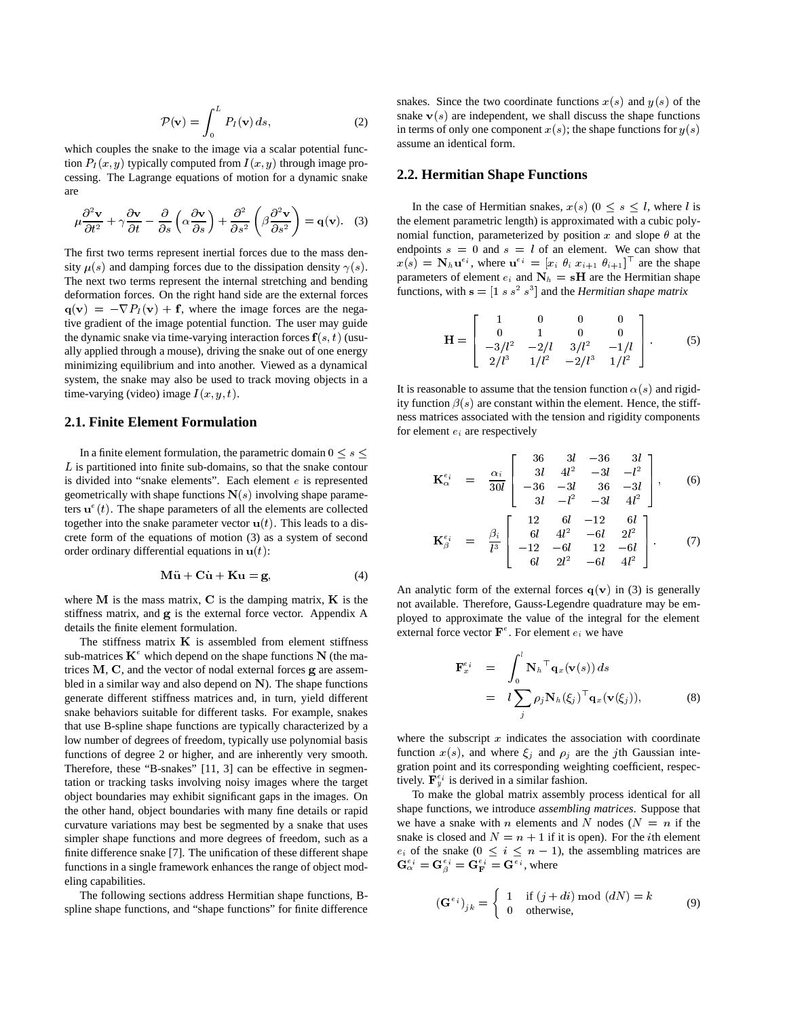$$
\mathcal{P}(\mathbf{v}) = \int_0^L P_I(\mathbf{v}) \, ds,\tag{2}
$$

which couples the snake to the image via a scalar potential function  $P_I(x, y)$  typically computed from  $I(x, y)$  through image processing. The Lagrange equations of motion for a dynamic snake are

$$
\mu \frac{\partial^2 \mathbf{v}}{\partial t^2} + \gamma \frac{\partial \mathbf{v}}{\partial t} - \frac{\partial}{\partial s} \left( \alpha \frac{\partial \mathbf{v}}{\partial s} \right) + \frac{\partial^2}{\partial s^2} \left( \beta \frac{\partial^2 \mathbf{v}}{\partial s^2} \right) = \mathbf{q}(\mathbf{v}).
$$
 (3)

The first two terms represent inertial forces due to the mass density  $\mu(s)$  and damping forces due to the dissipation density  $\gamma(s)$ . The next two terms represent the internal stretching and bending deformation forces. On the right hand side are the external forces  $q(\mathbf{v}) = -\nabla P_I (\mathbf{v}) + \mathbf{f}$ , where the image forces are the negative gradient of the image potential function. The user may guide the dynamic snake via time-varying interaction forces  $f(s, t)$  (usually applied through a mouse), driving the snake out of one energy minimizing equilibrium and into another. Viewed as a dynamical system, the snake may also be used to track moving objects in a time-varying (video) image  $I(x, y, t)$ .

## **2.1. Finite Element Formulation**

In a finite element formulation, the parametric domain  $0 \leq s \leq$ <sup>L</sup> is partitioned into finite sub-domains, so that the snake contour is divided into "snake elements". Each element  $e$  is represented geometrically with shape functions  $N(s)$  involving shape parameters  $\mathbf{u}^e(t)$ . The shape parameters of all the elements are collected together into the snake parameter vector  $\mathbf{u}(t)$ . This leads to a discrete form of the equations of motion (3) as a system of second order ordinary differential equations in  $\mathbf{u}(t)$ :

$$
M\ddot{u} + Cu + Ku = g,\tag{4}
$$

where  $M$  is the mass matrix,  $C$  is the damping matrix,  $K$  is the stiffness matrix, and g is the external force vector. Appendix A details the finite element formulation.

The stiffness matrix  $K$  is assembled from element stiffness sub-matrices  $K^e$  which depend on the shape functions N (the matrices M, C, and the vector of nodal external forces g are assembled in a similar way and also depend on  $N$ ). The shape functions generate different stiffness matrices and, in turn, yield different snake behaviors suitable for different tasks. For example, snakes that use B-spline shape functions are typically characterized by a low number of degrees of freedom, typically use polynomial basis functions of degree 2 or higher, and are inherently very smooth. Therefore, these "B-snakes" [11, 3] can be effective in segmentation or tracking tasks involving noisy images where the target object boundaries may exhibit significant gaps in the images. On the other hand, object boundaries with many fine details or rapid curvature variations may best be segmented by a snake that uses simpler shape functions and more degrees of freedom, such as a finite difference snake [7]. The unification of these different shape functions in a single framework enhances the range of object modeling capabilities.

The following sections address Hermitian shape functions, Bspline shape functions, and "shape functions" for finite difference snakes. Since the two coordinate functions  $x(s)$  and  $y(s)$  of the snake  $v(s)$  are independent, we shall discuss the shape functions in terms of only one component  $x(s)$ ; the shape functions for  $y(s)$ assume an identical form.

#### **2.2. Hermitian Shape Functions**

In the case of Hermitian snakes,  $x(s)$  ( $0 \le s \le l$ , where l is the element parametric length) is approximated with a cubic polynomial function, parameterized by position x and slope  $\theta$  at the endpoints  $s = 0$  and  $s = l$  of an element. We can show that  $x(s) = \mathbf{N}_h \mathbf{u}^{e_i}$ , where  $\mathbf{u}^{e_i} = [x_i \ \theta_i \ x_{i+1} \ \theta_{i+1}]$  are the shape parameters of element  $e_i$  and  $N_h = sH$  are the Hermitian shape functions, with  $s = \begin{bmatrix} 1 & s & s^2 & s^3 \end{bmatrix}$  and the *Hermitian shape matrix* 

$$
\mathbf{H} = \begin{bmatrix} 1 & 0 & 0 & 0 \\ 0 & 1 & 0 & 0 \\ -3/l^2 & -2/l & 3/l^2 & -1/l \\ 2/l^3 & 1/l^2 & -2/l^3 & 1/l^2 \end{bmatrix} .
$$
 (5)

It is reasonable to assume that the tension function  $\alpha(s)$  and rigidity function  $\beta(s)$  are constant within the element. Hence, the stiffness matrices associated with the tension and rigidity components for element  $e_i$  are respectively

$$
\mathbf{K}_{\alpha}^{e_i} = \frac{\alpha_i}{30l} \begin{bmatrix} 36 & 3l & -36 & 3l \\ 3l & 4l^2 & -3l & -l^2 \\ -36 & -3l & 36 & -3l \\ 3l & -l^2 & -3l & 4l^2 \end{bmatrix}, \quad (6)
$$

$$
\mathbf{K}_{\beta}^{e_i} = \frac{\beta_i}{l^3} \begin{bmatrix} 12 & 6l & -12 & 6l \\ 6l & 4l^2 & -6l & 2l^2 \\ -12 & -6l & 12 & -6l \\ 6l & 2l^2 & -6l & 4l^2 \end{bmatrix} . \tag{7}
$$

An analytic form of the external forces  $q(v)$  in (3) is generally not available. Therefore, Gauss-Legendre quadrature may be employed to approximate the value of the integral for the element external force vector  $\mathbf{F}^e$ . For element  $e_i$  we have

$$
\mathbf{F}_{x}^{e_{i}} = \int_{0}^{l} \mathbf{N}_{h}^{\top} \mathbf{q}_{x}(\mathbf{v}(s)) ds
$$
  

$$
= l \sum_{j} \rho_{j} \mathbf{N}_{h}(\xi_{j})^{\top} \mathbf{q}_{x}(\mathbf{v}(\xi_{j})),
$$
 (8)

where the subscript  $x$  indicates the association with coordinate function  $x(s)$ , and where  $\xi_j$  and  $\rho_j$  are the jth Gaussian integration point and its corresponding weighting coefficient, respectively.  $\mathbf{F}_{y}^{e_i}$  is derived in a similar fashion.

To make the global matrix assembly process identical for all shape functions, we introduce *assembling matrices*. Suppose that we have a snake with *n* elements and *N* nodes ( $N = n$  if the snake is closed and  $N = n + 1$  if it is open). For the *i*th element  $e_i$  of the snake  $(0 \le i \le n - 1)$ , the assembling matrices are  ${\bf G}^{e_i}_\alpha={\bf G}^{e_i}_\beta={\bf G}^{e_i}_F={\bf G}^{e_i}$ , where

$$
(\mathbf{G}^{e_i})_{jk} = \begin{cases} 1 & \text{if } (j+di) \bmod (dN) = k \\ 0 & \text{otherwise,} \end{cases}
$$
 (9)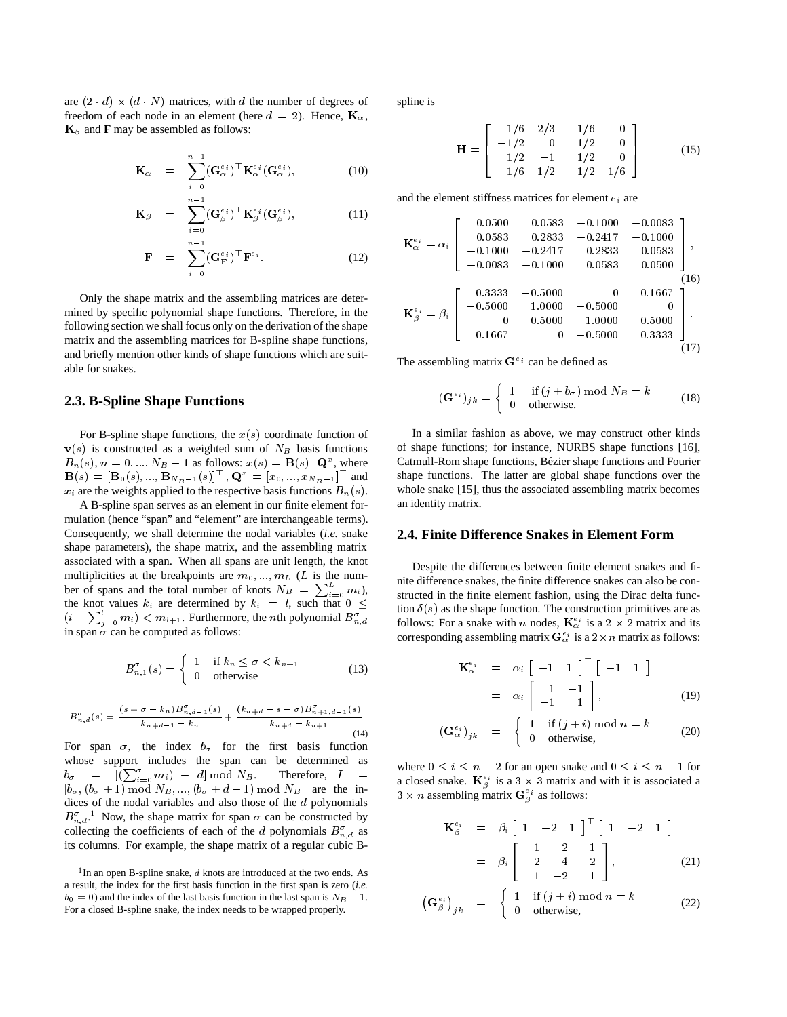are  $(2 \cdot d) \times (d \cdot N)$  matrices, with d the number of degrees of freedom of each node in an element (here  $d = 2$ ). Hence,  $\mathbf{K}_{\alpha}$ ,  $\mathbf{K}_{\beta}$  and **F** may be assembled as follows:

$$
\mathbf{K}_{\alpha} = \sum_{i=0}^{n-1} (\mathbf{G}_{\alpha}^{e_i})^{\top} \mathbf{K}_{\alpha}^{e_i} (\mathbf{G}_{\alpha}^{e_i}), \qquad (10)
$$

$$
\mathbf{K}_{\beta} = \sum_{i=0}^{n-1} (\mathbf{G}_{\beta}^{e_i})^{\top} \mathbf{K}_{\beta}^{e_i} (\mathbf{G}_{\beta}^{e_i}), \qquad (11)
$$

$$
\mathbf{F} = \sum_{i=0}^{n-1} (\mathbf{G}_{\mathbf{F}}^{e_i})^{\top} \mathbf{F}^{e_i}.
$$
 (12)

Only the shape matrix and the assembling matrices are determined by specific polynomial shape functions. Therefore, in the following section we shall focus only on the derivation of the shape matrix and the assembling matrices for B-spline shape functions, and briefly mention other kinds of shape functions which are suitable for snakes.

## **2.3. B-Spline Shape Functions**

For B-spline shape functions, the  $x(s)$  coordinate function of  $v(s)$  is constructed as a weighted sum of  $N_B$  basis functions  $B_n(s)$ ,  $n = 0, ..., N_B - 1$  as follows:  $x(s) = \mathbf{B}(s)^\top \mathbf{Q}^x$ , where  $\mathbf{B}(s) = [\mathbf{B}_0(s), ..., \mathbf{B}_{N_B-1}(s)]^\top, \mathbf{Q}^x = [x_0, ..., x_{N_B-1}]^\top$  and sl  $x_i$  are the weights applied to the respective basis functions  $B_n(s)$ .

A B-spline span serves as an element in our finite element formulation (hence "span" and "element" are interchangeable terms). Consequently, we shall determine the nodal variables (*i.e.* snake shape parameters), the shape matrix, and the assembling matrix associated with a span. When all spans are unit length, the knot multiplicities at the breakpoints are  $m_0, ..., m_L$  (L is the number of spans and the total number of knots  $N_B = \sum_{i=0}^{L} m_i$ , the knot values  $k_i$  are determined by  $k_i = l$ , such that  $0 \leq$  $(i - \sum_{j=0}^{l} m_i) < m_{l+1}$ . Furthermore, the *n*th polynomial  $B_{n,d}^{\sigma}$ in span  $\sigma$  can be computed as follows:

$$
B_{n,1}^{\sigma}(s) = \begin{cases} 1 & \text{if } k_n \le \sigma < k_{n+1} \\ 0 & \text{otherwise} \end{cases}
$$
 (13)

$$
B_{n,d}^{\sigma}(s) = \frac{(s+\sigma-k_n)B_{n,d-1}^{\sigma}(s)}{k_{n+d-1}-k_n} + \frac{(k_{n+d}-s-\sigma)B_{n+1,d-1}^{\sigma}(s)}{k_{n+d}-k_{n+1}}
$$
(14)

For span  $\sigma$ , the index  $b_{\sigma}$  for the first basis function whose support includes the span can be determined as  $b_{\sigma} = [(\sum_{i=0}^{\sigma} m_i) - d] \bmod N_B$ . Therefore,  $I =$  $[b_{\sigma}, (b_{\sigma}+1) \text{ mod } N_B, ..., (b_{\sigma}+d-1) \text{ mod } N_B]$  are the indices of the nodal variables and also those of the  $d$  polynomials  $B_{n,d}^{\sigma}$ .<sup>1</sup> Now, the shape matrix for span  $\sigma$  can be constructed by collecting the coefficients of each of the d polynomials  $B_{n,d}^{\sigma}$  as its columns. For example, the shape matrix of a regular cubic B-

spline is

$$
\mathbf{H} = \begin{bmatrix} 1/6 & 2/3 & 1/6 & 0 \\ -1/2 & 0 & 1/2 & 0 \\ 1/2 & -1 & 1/2 & 0 \\ -1/6 & 1/2 & -1/2 & 1/6 \end{bmatrix}
$$
(15)

and the element stiffness matrices for element  $e_i$  are

$$
\mathbf{K}_{\alpha}^{e_i} = \alpha_i \begin{bmatrix} 0.0500 & 0.0583 & -0.1000 & -0.0083 \\ 0.0583 & 0.2833 & -0.2417 & -0.1000 \\ -0.1000 & -0.2417 & 0.2833 & 0.0583 \\ -0.0083 & -0.1000 & 0.0583 & 0.0500 \end{bmatrix},
$$
\n
$$
\mathbf{K}_{\beta}^{e_i} = \beta_i \begin{bmatrix} 0.3333 & -0.5000 & 0 & 0.1667 \\ -0.5000 & 1.0000 & -0.5000 & 0 \\ 0 & -0.5000 & 1.0000 & -0.5000 \\ 0.1667 & 0 & -0.5000 & 0.3333 \end{bmatrix}.
$$
\n(17)

The assembling matrix  $\mathbf{G}^{e_i}$  can be defined as

$$
(\mathbf{G}^{e_i})_{jk} = \begin{cases} 1 & \text{if } (j + b_\sigma) \text{ mod } N_B = k \\ 0 & \text{otherwise.} \end{cases}
$$
 (18)

In a similar fashion as above, we may construct other kinds of shape functions; for instance, NURBS shape functions [16], Catmull-Rom shape functions, Bézier shape functions and Fourier shape functions. The latter are global shape functions over the whole snake [15], thus the associated assembling matrix becomes an identity matrix.

#### **2.4. Finite Difference Snakes in Element Form**

Despite the differences between finite element snakes and finite difference snakes, the finite difference snakes can also be constructed in the finite element fashion, using the Dirac delta function  $\delta(s)$  as the shape function. The construction primitives are as follows: For a snake with *n* nodes,  $\mathbf{K}_{\alpha}^{e_i}$  is a 2  $\times$  2 matrix and its corresponding assembling matrix  $G_{\alpha}^{\epsilon_i}$  is a 2  $\times$  *n* matrix as follows:

$$
\mathbf{K}_{\alpha}^{e_i} = \alpha_i \begin{bmatrix} -1 & 1 \end{bmatrix}^\top \begin{bmatrix} -1 & 1 \end{bmatrix}
$$

$$
= \alpha_i \begin{bmatrix} 1 & -1 \\ -1 & 1 \end{bmatrix}, \qquad (19)
$$

$$
\left(\mathbf{G}_{\alpha}^{e_{i}}\right)_{jk} = \begin{cases} 1 & \text{if } (j+i) \text{ mod } n = k \\ 0 & \text{otherwise,} \end{cases}
$$
 (20)

where  $0 \le i \le n - 2$  for an open snake and  $0 \le i \le n - 1$  for a closed snake.  $\mathbf{K}_{\beta}^{e_i}$  is a 3  $\times$  3 matrix and with it is associated a  $3 \times n$  assembling matrix  $\mathbf{G}_{\beta}^{e_i}$  as follows:

$$
\mathbf{K}_{\beta}^{e_i} = \beta_i \begin{bmatrix} 1 & -2 & 1 \end{bmatrix}^{\top} \begin{bmatrix} 1 & -2 & 1 \end{bmatrix}
$$
  
=  $\beta_i \begin{bmatrix} 1 & -2 & 1 \\ -2 & 4 & -2 \\ 1 & -2 & 1 \end{bmatrix}$ , (21)

$$
\left(\mathbf{G}_{\beta}^{\epsilon_{i}}\right)_{jk} = \begin{cases} 1 & \text{if } (j+i) \text{ mod } n = k \\ 0 & \text{otherwise,} \end{cases}
$$
 (22)

 $1$ In an open B-spline snake,  $d$  knots are introduced at the two ends. As a result, the index for the first basis function in the first span is zero (*i.e.*  $b_0 = 0$ ) and the index of the last basis function in the last span is  $N_B - 1$ . For a closed B-spline snake, the index needs to be wrapped properly.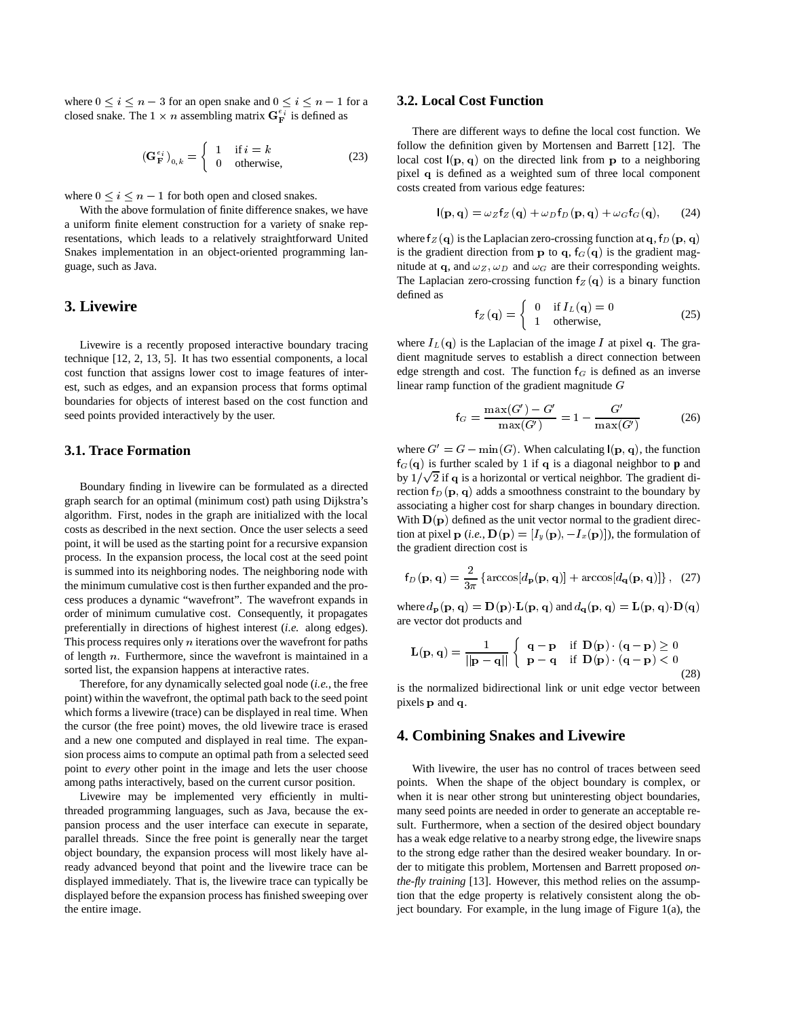where  $0 \le i \le n - 3$  for an open snake and  $0 \le i \le n - 1$  for a closed snake. The  $1 \times n$  assembling matrix  $G_F^{\epsilon_i}$  is defined as

$$
\left(\mathbf{G}_{\mathbf{F}}^{\epsilon_i}\right)_{0,k} = \begin{cases} 1 & \text{if } i = k \\ 0 & \text{otherwise,} \end{cases} \tag{23}
$$

where  $0 \le i \le n - 1$  for both open and closed snakes.

With the above formulation of finite difference snakes, we have a uniform finite element construction for a variety of snake representations, which leads to a relatively straightforward United Snakes implementation in an object-oriented programming language, such as Java.

# **3. Livewire**

Livewire is a recently proposed interactive boundary tracing technique [12, 2, 13, 5]. It has two essential components, a local cost function that assigns lower cost to image features of interest, such as edges, and an expansion process that forms optimal boundaries for objects of interest based on the cost function and seed points provided interactively by the user.

#### **3.1. Trace Formation**

Boundary finding in livewire can be formulated as a directed graph search for an optimal (minimum cost) path using Dijkstra's algorithm. First, nodes in the graph are initialized with the local costs as described in the next section. Once the user selects a seed point, it will be used as the starting point for a recursive expansion process. In the expansion process, the local cost at the seed point is summed into its neighboring nodes. The neighboring node with the minimum cumulative cost is then further expanded and the process produces a dynamic "wavefront". The wavefront expands in order of minimum cumulative cost. Consequently, it propagates preferentially in directions of highest interest (*i.e.* along edges). This process requires only  $n$  iterations over the wavefront for paths of length <sup>n</sup>. Furthermore, since the wavefront is maintained in a sorted list, the expansion happens at interactive rates.

Therefore, for any dynamically selected goal node (*i.e.*, the free point) within the wavefront, the optimal path back to the seed point which forms a livewire (trace) can be displayed in real time. When the cursor (the free point) moves, the old livewire trace is erased and a new one computed and displayed in real time. The expansion process aims to compute an optimal path from a selected seed point to *every* other point in the image and lets the user choose among paths interactively, based on the current cursor position.

Livewire may be implemented very efficiently in multithreaded programming languages, such as Java, because the expansion process and the user interface can execute in separate, parallel threads. Since the free point is generally near the target object boundary, the expansion process will most likely have already advanced beyond that point and the livewire trace can be displayed immediately. That is, the livewire trace can typically be displayed before the expansion process has finished sweeping over the entire image.

## **3.2. Local Cost Function**

There are different ways to define the local cost function. We follow the definition given by Mortensen and Barrett [12]. The local cost  $\mathbf{I}(\mathbf{p}, \mathbf{q})$  on the directed link from **p** to a neighboring pixel q is defined as a weighted sum of three local component costs created from various edge features:

$$
I(\mathbf{p}, \mathbf{q}) = \omega_Z f_Z(\mathbf{q}) + \omega_D f_D(\mathbf{p}, \mathbf{q}) + \omega_G f_G(\mathbf{q}), \qquad (24)
$$

where  $f_Z(\mathbf{q})$  is the Laplacian zero-crossing function at  $\mathbf{q}, f_D(\mathbf{p}, \mathbf{q})$ is the gradient direction from p to q,  $f_G(q)$  is the gradient magnitude at q, and  $\omega_Z$ ,  $\omega_D$  and  $\omega_G$  are their corresponding weights. The Laplacian zero-crossing function  $f_Z(q)$  is a binary function defined as

$$
f_Z(\mathbf{q}) = \begin{cases} 0 & \text{if } I_L(\mathbf{q}) = 0 \\ 1 & \text{otherwise,} \end{cases}
$$
 (25)

where  $I_L(q)$  is the Laplacian of the image I at pixel q. The gradient magnitude serves to establish a direct connection between edge strength and cost. The function  $f<sub>G</sub>$  is defined as an inverse linear ramp function of the gradient magnitude  $G$ 

$$
f_G = \frac{\max(G') - G'}{\max(G')} = 1 - \frac{G'}{\max(G')}
$$
 (26)

where  $G' = G - \min(G)$ . When calculating  $I(\mathbf{p}, \mathbf{q})$ , the function  $f_G(q)$  is further scaled by 1 if q is a diagonal neighbor to **p** and by  $1/\sqrt{2}$  if q is a horizontal or vertical neighbor. The gradient direction  $f_D(\mathbf{p}, \mathbf{q})$  adds a smoothness constraint to the boundary by associating a higher cost for sharp changes in boundary direction. With  $\mathbf{D}(\mathbf{p})$  defined as the unit vector normal to the gradient direction at pixel  $\mathbf{p}$  (*i.e.*,  $\mathbf{D}(\mathbf{p})=[I_y(\mathbf{p}), -I_x(\mathbf{p})]$ ), the formulation of the gradient direction cost is

$$
f_D(\mathbf{p}, \mathbf{q}) = \frac{2}{3\pi} \left\{ \arccos[d_\mathbf{p}(\mathbf{p}, \mathbf{q})] + \arccos[d_\mathbf{q}(\mathbf{p}, \mathbf{q})] \right\}, (27)
$$

where  $d_{\mathbf{p}}(\mathbf{p}, \mathbf{q}) = \mathbf{D}(\mathbf{p}) \cdot \mathbf{L}(\mathbf{p}, \mathbf{q})$  and  $d_{\mathbf{q}}(\mathbf{p}, \mathbf{q}) = \mathbf{L}(\mathbf{p}, \mathbf{q}) \cdot \mathbf{D}(\mathbf{q})$ are vector dot products and

$$
\mathbf{L}(\mathbf{p}, \mathbf{q}) = \frac{1}{||\mathbf{p} - \mathbf{q}||} \begin{cases} \mathbf{q} - \mathbf{p} & \text{if } \mathbf{D}(\mathbf{p}) \cdot (\mathbf{q} - \mathbf{p}) \ge 0 \\ \mathbf{p} - \mathbf{q} & \text{if } \mathbf{D}(\mathbf{p}) \cdot (\mathbf{q} - \mathbf{p}) < 0 \end{cases}
$$
(28)

is the normalized bidirectional link or unit edge vector between pixels p and q.

## **4. Combining Snakes and Livewire**

With livewire, the user has no control of traces between seed points. When the shape of the object boundary is complex, or when it is near other strong but uninteresting object boundaries, many seed points are needed in order to generate an acceptable result. Furthermore, when a section of the desired object boundary has a weak edge relative to a nearby strong edge, the livewire snaps to the strong edge rather than the desired weaker boundary. In order to mitigate this problem, Mortensen and Barrett proposed *onthe-fly training* [13]. However, this method relies on the assumption that the edge property is relatively consistent along the object boundary. For example, in the lung image of Figure 1(a), the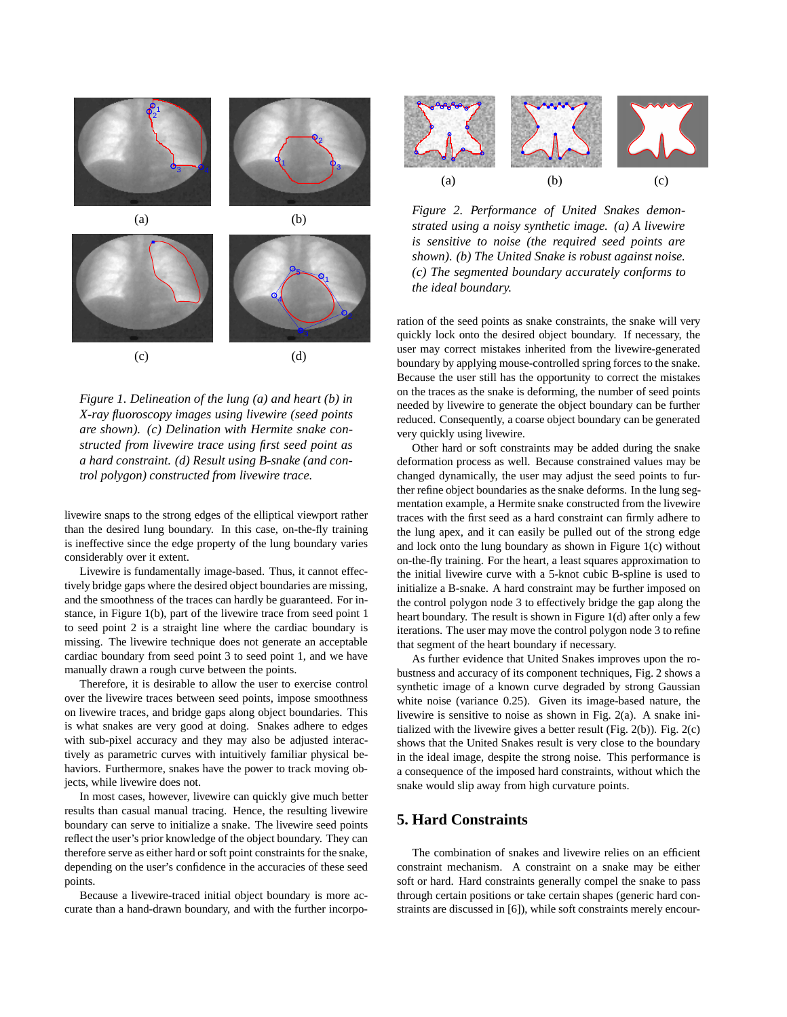

*Figure 1. Delineation of the lung (a) and heart (b) in X-ray fluoroscopy images using livewire (seed points are shown). (c) Delination with Hermite snake constructed from livewire trace using first seed point as a hard constraint. (d) Result using B-snake (and control polygon) constructed from livewire trace.*

livewire snaps to the strong edges of the elliptical viewport rather than the desired lung boundary. In this case, on-the-fly training is ineffective since the edge property of the lung boundary varies considerably over it extent.

Livewire is fundamentally image-based. Thus, it cannot effectively bridge gaps where the desired object boundaries are missing, and the smoothness of the traces can hardly be guaranteed. For instance, in Figure 1(b), part of the livewire trace from seed point 1 to seed point 2 is a straight line where the cardiac boundary is missing. The livewire technique does not generate an acceptable cardiac boundary from seed point 3 to seed point 1, and we have manually drawn a rough curve between the points.

Therefore, it is desirable to allow the user to exercise control over the livewire traces between seed points, impose smoothness on livewire traces, and bridge gaps along object boundaries. This is what snakes are very good at doing. Snakes adhere to edges with sub-pixel accuracy and they may also be adjusted interactively as parametric curves with intuitively familiar physical behaviors. Furthermore, snakes have the power to track moving objects, while livewire does not.

In most cases, however, livewire can quickly give much better results than casual manual tracing. Hence, the resulting livewire boundary can serve to initialize a snake. The livewire seed points reflect the user's prior knowledge of the object boundary. They can therefore serve as either hard or soft point constraints for the snake, depending on the user's confidence in the accuracies of these seed points.

Because a livewire-traced initial object boundary is more accurate than a hand-drawn boundary, and with the further incorpo-



*Figure 2. Performance of United Snakes demonstrated using a noisy synthetic image. (a) A livewire is sensitive to noise (the required seed points are shown). (b) The United Snake is robust against noise. (c) The segmented boundary accurately conforms to the ideal boundary.*

ration of the seed points as snake constraints, the snake will very quickly lock onto the desired object boundary. If necessary, the user may correct mistakes inherited from the livewire-generated boundary by applying mouse-controlled spring forces to the snake. Because the user still has the opportunity to correct the mistakes on the traces as the snake is deforming, the number of seed points needed by livewire to generate the object boundary can be further reduced. Consequently, a coarse object boundary can be generated very quickly using livewire.

Other hard or soft constraints may be added during the snake deformation process as well. Because constrained values may be changed dynamically, the user may adjust the seed points to further refine object boundaries as the snake deforms. In the lung segmentation example, a Hermite snake constructed from the livewire traces with the first seed as a hard constraint can firmly adhere to the lung apex, and it can easily be pulled out of the strong edge and lock onto the lung boundary as shown in Figure 1(c) without on-the-fly training. For the heart, a least squares approximation to the initial livewire curve with a 5-knot cubic B-spline is used to initialize a B-snake. A hard constraint may be further imposed on the control polygon node 3 to effectively bridge the gap along the heart boundary. The result is shown in Figure 1(d) after only a few iterations. The user may move the control polygon node 3 to refine that segment of the heart boundary if necessary.

As further evidence that United Snakes improves upon the robustness and accuracy of its component techniques, Fig. 2 shows a synthetic image of a known curve degraded by strong Gaussian white noise (variance 0.25). Given its image-based nature, the livewire is sensitive to noise as shown in Fig. 2(a). A snake initialized with the livewire gives a better result (Fig.  $2(b)$ ). Fig.  $2(c)$ shows that the United Snakes result is very close to the boundary in the ideal image, despite the strong noise. This performance is a consequence of the imposed hard constraints, without which the snake would slip away from high curvature points.

# **5. Hard Constraints**

The combination of snakes and livewire relies on an efficient constraint mechanism. A constraint on a snake may be either soft or hard. Hard constraints generally compel the snake to pass through certain positions or take certain shapes (generic hard constraints are discussed in [6]), while soft constraints merely encour-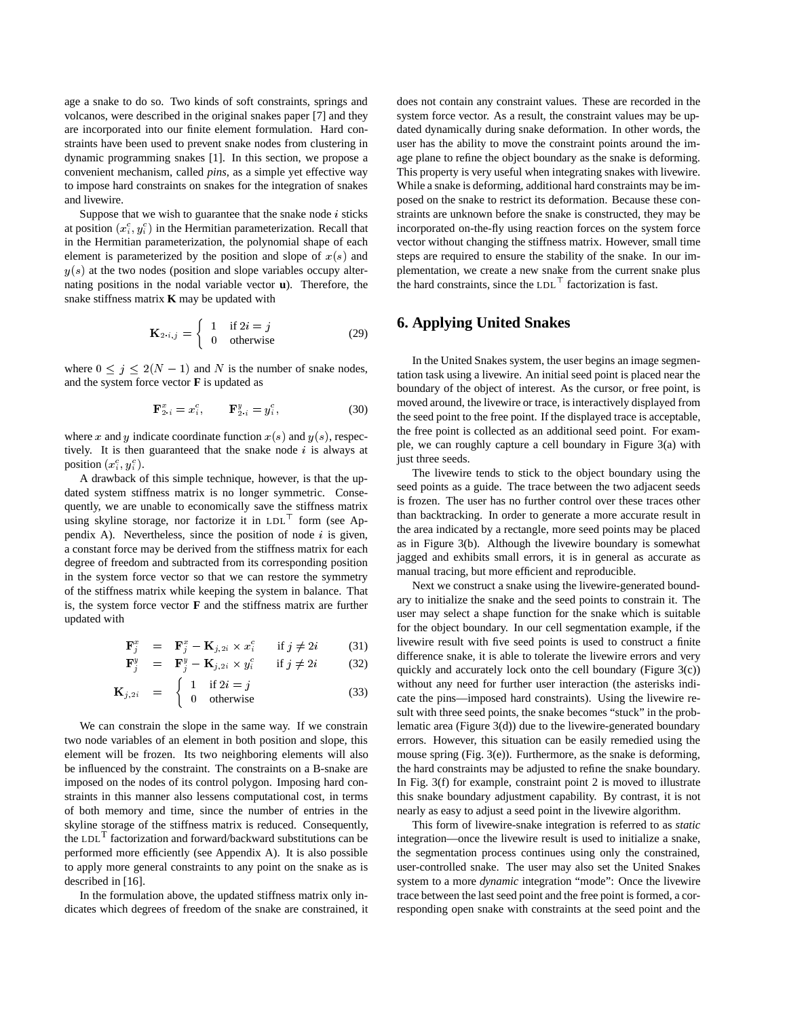age a snake to do so. Two kinds of soft constraints, springs and volcanos, were described in the original snakes paper [7] and they are incorporated into our finite element formulation. Hard constraints have been used to prevent snake nodes from clustering in dynamic programming snakes [1]. In this section, we propose a convenient mechanism, called *pins*, as a simple yet effective way to impose hard constraints on snakes for the integration of snakes and livewire.

Suppose that we wish to guarantee that the snake node  $i$  sticks at position  $(x_i^c, y_i^c)$  in the Hermitian parameterization. Recall that in the Hermitian parameterization, the polynomial shape of each element is parameterized by the position and slope of  $x(s)$  and  $y(s)$  at the two nodes (position and slope variables occupy alternating positions in the nodal variable vector **u**). Therefore, the snake stiffness matrix **K** may be updated with

$$
\mathbf{K}_{2 \cdot i,j} = \begin{cases} 1 & \text{if } 2i = j \\ 0 & \text{otherwise} \end{cases}
$$
 (29)

where  $0 \le j \le 2(N - 1)$  and N is the number of snake nodes, and the system force vector **F** is updated as

$$
\mathbf{F}_{2\cdot i}^x = x_i^c, \qquad \mathbf{F}_{2\cdot i}^y = y_i^c,\tag{30}
$$

where x and y indicate coordinate function  $x(s)$  and  $y(s)$ , respectively. It is then guaranteed that the snake node  $i$  is always at position  $(x_i^c, y_i^c)$ .

A drawback of this simple technique, however, is that the updated system stiffness matrix is no longer symmetric. Consequently, we are unable to economically save the stiffness matrix using skyline storage, nor factorize it in LDL<sup>1</sup> form (see Appendix A). Nevertheless, since the position of node  $i$  is given, a constant force may be derived from the stiffness matrix for each degree of freedom and subtracted from its corresponding position in the system force vector so that we can restore the symmetry of the stiffness matrix while keeping the system in balance. That is, the system force vector **F** and the stiffness matrix are further updated with

$$
\mathbf{F}_j^x = \mathbf{F}_j^x - \mathbf{K}_{j,2i} \times x_i^c \quad \text{if } j \neq 2i \tag{31}
$$

$$
\mathbf{F}_j^y = \mathbf{F}_j^y - \mathbf{K}_{j,2i} \times y_i^c \quad \text{if } j \neq 2i \tag{32}
$$

$$
\mathbf{K}_{j,2i} = \begin{cases} 1 & \text{if } 2i = j \\ 0 & \text{otherwise} \end{cases}
$$
 (33)

We can constrain the slope in the same way. If we constrain two node variables of an element in both position and slope, this element will be frozen. Its two neighboring elements will also be influenced by the constraint. The constraints on a B-snake are imposed on the nodes of its control polygon. Imposing hard constraints in this manner also lessens computational cost, in terms of both memory and time, since the number of entries in the skyline storage of the stiffness matrix is reduced. Consequently, the LDL<sup>T</sup> factorization and forward/backward substitutions can be performed more efficiently (see Appendix A). It is also possible to apply more general constraints to any point on the snake as is described in [16].

In the formulation above, the updated stiffness matrix only indicates which degrees of freedom of the snake are constrained, it does not contain any constraint values. These are recorded in the system force vector. As a result, the constraint values may be updated dynamically during snake deformation. In other words, the user has the ability to move the constraint points around the image plane to refine the object boundary as the snake is deforming. This property is very useful when integrating snakes with livewire. While a snake is deforming, additional hard constraints may be imposed on the snake to restrict its deformation. Because these constraints are unknown before the snake is constructed, they may be incorporated on-the-fly using reaction forces on the system force vector without changing the stiffness matrix. However, small time steps are required to ensure the stability of the snake. In our implementation, we create a new snake from the current snake plus the hard constraints, since the  $LDL<sup>-1</sup>$  factorization is fast.

# **6. Applying United Snakes**

In the United Snakes system, the user begins an image segmentation task using a livewire. An initial seed point is placed near the boundary of the object of interest. As the cursor, or free point, is moved around, the livewire or trace, is interactively displayed from the seed point to the free point. If the displayed trace is acceptable, the free point is collected as an additional seed point. For example, we can roughly capture a cell boundary in Figure 3(a) with just three seeds.

The livewire tends to stick to the object boundary using the seed points as a guide. The trace between the two adjacent seeds is frozen. The user has no further control over these traces other than backtracking. In order to generate a more accurate result in the area indicated by a rectangle, more seed points may be placed as in Figure 3(b). Although the livewire boundary is somewhat jagged and exhibits small errors, it is in general as accurate as manual tracing, but more efficient and reproducible.

Next we construct a snake using the livewire-generated boundary to initialize the snake and the seed points to constrain it. The user may select a shape function for the snake which is suitable for the object boundary. In our cell segmentation example, if the livewire result with five seed points is used to construct a finite difference snake, it is able to tolerate the livewire errors and very quickly and accurately lock onto the cell boundary (Figure 3(c)) without any need for further user interaction (the asterisks indicate the pins—imposed hard constraints). Using the livewire result with three seed points, the snake becomes "stuck" in the problematic area (Figure 3(d)) due to the livewire-generated boundary errors. However, this situation can be easily remedied using the mouse spring (Fig. 3(e)). Furthermore, as the snake is deforming, the hard constraints may be adjusted to refine the snake boundary. In Fig. 3(f) for example, constraint point 2 is moved to illustrate this snake boundary adjustment capability. By contrast, it is not nearly as easy to adjust a seed point in the livewire algorithm.

This form of livewire-snake integration is referred to as *static* integration—once the livewire result is used to initialize a snake, the segmentation process continues using only the constrained, user-controlled snake. The user may also set the United Snakes system to a more *dynamic* integration "mode": Once the livewire trace between the last seed point and the free point is formed, a corresponding open snake with constraints at the seed point and the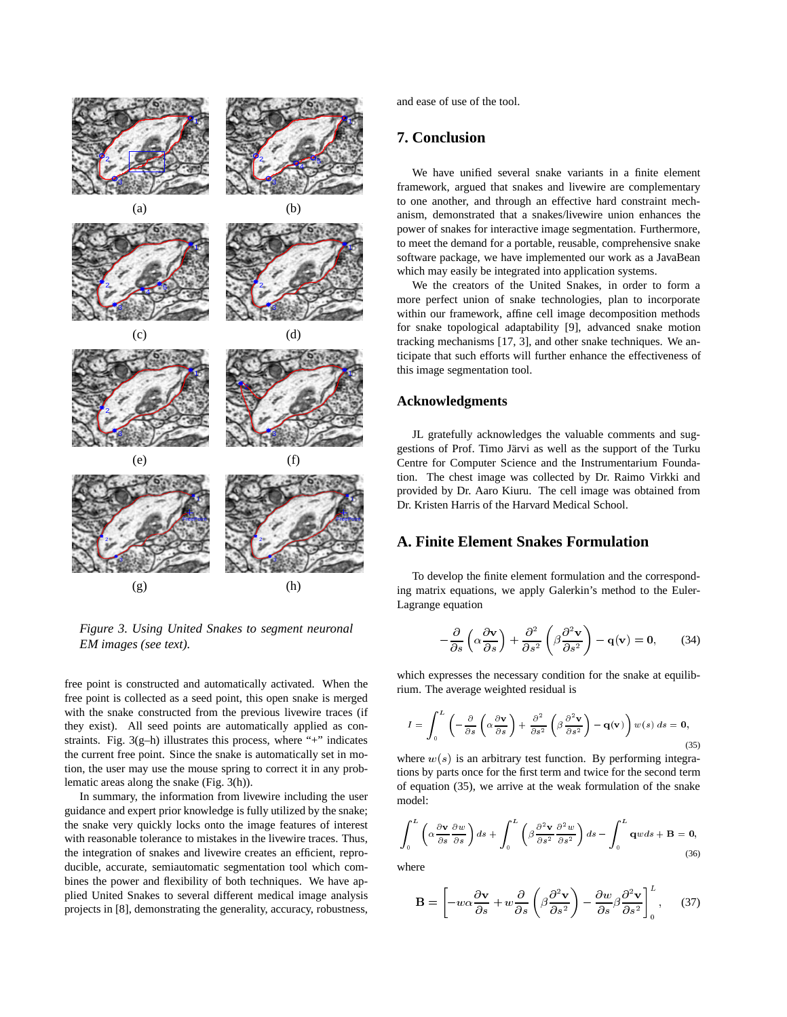

*Figure 3. Using United Snakes to segment neuronal EM images (see text).*

free point is constructed and automatically activated. When the free point is collected as a seed point, this open snake is merged with the snake constructed from the previous livewire traces (if they exist). All seed points are automatically applied as constraints. Fig. 3(g–h) illustrates this process, where "+" indicates the current free point. Since the snake is automatically set in motion, the user may use the mouse spring to correct it in any problematic areas along the snake (Fig. 3(h)).

In summary, the information from livewire including the user guidance and expert prior knowledge is fully utilized by the snake; the snake very quickly locks onto the image features of interest with reasonable tolerance to mistakes in the livewire traces. Thus, the integration of snakes and livewire creates an efficient, reproducible, accurate, semiautomatic segmentation tool which combines the power and flexibility of both techniques. We have applied United Snakes to several different medical image analysis projects in [8], demonstrating the generality, accuracy, robustness,

and ease of use of the tool.

# **7. Conclusion**

We have unified several snake variants in a finite element framework, argued that snakes and livewire are complementary to one another, and through an effective hard constraint mechanism, demonstrated that a snakes/livewire union enhances the power of snakes for interactive image segmentation. Furthermore, to meet the demand for a portable, reusable, comprehensive snake software package, we have implemented our work as a JavaBean which may easily be integrated into application systems.

We the creators of the United Snakes, in order to form a more perfect union of snake technologies, plan to incorporate within our framework, affine cell image decomposition methods for snake topological adaptability [9], advanced snake motion tracking mechanisms [17, 3], and other snake techniques. We anticipate that such efforts will further enhance the effectiveness of this image segmentation tool.

# **Acknowledgments**

JL gratefully acknowledges the valuable comments and suggestions of Prof. Timo Järvi as well as the support of the Turku Centre for Computer Science and the Instrumentarium Foundation. The chest image was collected by Dr. Raimo Virkki and provided by Dr. Aaro Kiuru. The cell image was obtained from Dr. Kristen Harris of the Harvard Medical School.

## **A. Finite Element Snakes Formulation**

To develop the finite element formulation and the corresponding matrix equations, we apply Galerkin's method to the Euler-Lagrange equation

$$
-\frac{\partial}{\partial s}\left(\alpha \frac{\partial \mathbf{v}}{\partial s}\right) + \frac{\partial^2}{\partial s^2}\left(\beta \frac{\partial^2 \mathbf{v}}{\partial s^2}\right) - \mathbf{q}(\mathbf{v}) = \mathbf{0},\qquad(34)
$$

which expresses the necessary condition for the snake at equilibrium. The average weighted residual is

$$
I = \int_0^L \left( -\frac{\partial}{\partial s} \left( \alpha \frac{\partial \mathbf{v}}{\partial s} \right) + \frac{\partial^2}{\partial s^2} \left( \beta \frac{\partial^2 \mathbf{v}}{\partial s^2} \right) - \mathbf{q}(\mathbf{v}) \right) w(s) \ ds = \mathbf{0},\tag{35}
$$

where  $w(s)$  is an arbitrary test function. By performing integrations by parts once for the first term and twice for the second term of equation (35), we arrive at the weak formulation of the snake model:

$$
\int_0^L \left( \alpha \frac{\partial \mathbf{v}}{\partial s} \frac{\partial w}{\partial s} \right) ds + \int_0^L \left( \beta \frac{\partial^2 \mathbf{v}}{\partial s^2} \frac{\partial^2 w}{\partial s^2} \right) ds - \int_0^L \mathbf{q} w ds + \mathbf{B} = \mathbf{0},\tag{36}
$$

where

$$
\mathbf{B} = \left[ -w\alpha \frac{\partial \mathbf{v}}{\partial s} + w \frac{\partial}{\partial s} \left( \beta \frac{\partial^2 \mathbf{v}}{\partial s^2} \right) - \frac{\partial w}{\partial s} \beta \frac{\partial^2 \mathbf{v}}{\partial s^2} \right]_0^L, \quad (37)
$$